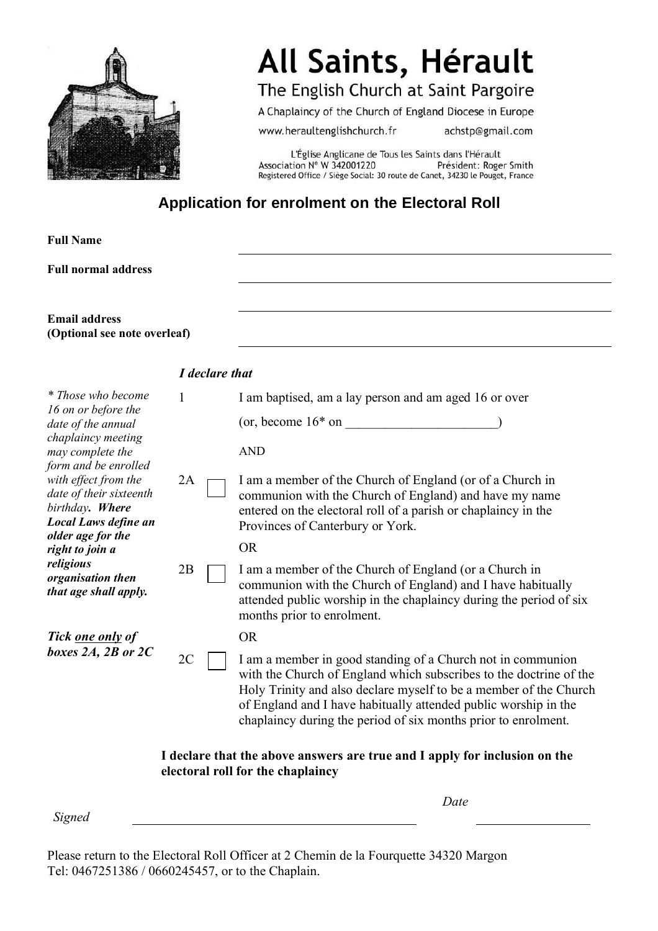

## All Saints, Hérault

## The English Church at Saint Pargoire

A Chaplaincy of the Church of England Diocese in Europe

www.heraultenglishchurch.fr achstp@gmail.com

L'Église Anglicane de Tous les Saints dans l'Hérault Association N° W 342001220 Président: Roger Smith Registered Office / Siège Social: 30 route de Canet, 34230 le Pouget, France

## **Application for enrolment on the Electoral Roll**

| <b>Full Name</b>                                                                                                                                                                                                                                                                                                                                                                             |                |                                                                                                                                                                                                                                                                                                                                                          |
|----------------------------------------------------------------------------------------------------------------------------------------------------------------------------------------------------------------------------------------------------------------------------------------------------------------------------------------------------------------------------------------------|----------------|----------------------------------------------------------------------------------------------------------------------------------------------------------------------------------------------------------------------------------------------------------------------------------------------------------------------------------------------------------|
| <b>Full normal address</b>                                                                                                                                                                                                                                                                                                                                                                   |                |                                                                                                                                                                                                                                                                                                                                                          |
| <b>Email address</b><br>(Optional see note overleaf)                                                                                                                                                                                                                                                                                                                                         |                |                                                                                                                                                                                                                                                                                                                                                          |
|                                                                                                                                                                                                                                                                                                                                                                                              | I declare that |                                                                                                                                                                                                                                                                                                                                                          |
| * Those who become<br>16 on or before the<br>date of the annual<br>chaplaincy meeting<br>may complete the<br>form and be enrolled<br>with effect from the<br>date of their sixteenth<br>birthday. Where<br><b>Local Laws define an</b><br>older age for the<br>right to join a<br>religious<br>organisation then<br>that age shall apply.<br>Tick <u>one only</u> of<br>boxes 2A, 2B or $2C$ | 1              | I am baptised, am a lay person and am aged 16 or over<br>(or, become $16^*$ on<br><b>AND</b>                                                                                                                                                                                                                                                             |
|                                                                                                                                                                                                                                                                                                                                                                                              | 2A             | I am a member of the Church of England (or of a Church in<br>communion with the Church of England) and have my name<br>entered on the electoral roll of a parish or chaplaincy in the<br>Provinces of Canterbury or York.                                                                                                                                |
|                                                                                                                                                                                                                                                                                                                                                                                              | 2B             | <b>OR</b><br>I am a member of the Church of England (or a Church in<br>communion with the Church of England) and I have habitually<br>attended public worship in the chaplaincy during the period of six<br>months prior to enrolment.                                                                                                                   |
|                                                                                                                                                                                                                                                                                                                                                                                              | 2C             | <b>OR</b><br>I am a member in good standing of a Church not in communion<br>with the Church of England which subscribes to the doctrine of the<br>Holy Trinity and also declare myself to be a member of the Church<br>of England and I have habitually attended public worship in the<br>chaplaincy during the period of six months prior to enrolment. |
|                                                                                                                                                                                                                                                                                                                                                                                              |                | I declare that the above answers are true and I apply for inclusion on the<br>electoral roll for the chaplaincy                                                                                                                                                                                                                                          |
| Signed                                                                                                                                                                                                                                                                                                                                                                                       |                | Date                                                                                                                                                                                                                                                                                                                                                     |

Please return to the Electoral Roll Officer at 2 Chemin de la Fourquette 34320 Margon Tel: 0467251386 / 0660245457, or to the Chaplain.